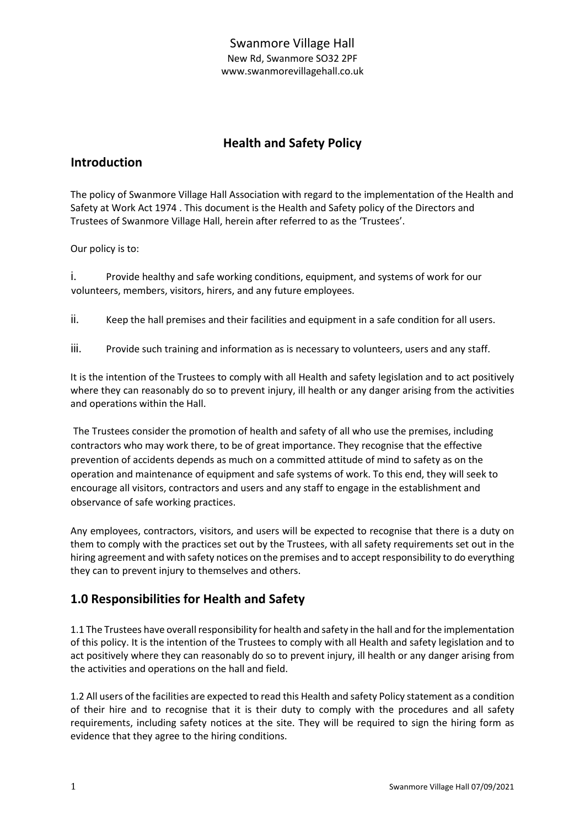# **Health and Safety Policy**

# **Introduction**

The policy of Swanmore Village Hall Association with regard to the implementation of the Health and Safety at Work Act 1974 . This document is the Health and Safety policy of the Directors and Trustees of Swanmore Village Hall, herein after referred to as the 'Trustees'.

Our policy is to:

i. Provide healthy and safe working conditions, equipment, and systems of work for our volunteers, members, visitors, hirers, and any future employees.

ii. Keep the hall premises and their facilities and equipment in a safe condition for all users.

iii. Provide such training and information as is necessary to volunteers, users and any staff.

It is the intention of the Trustees to comply with all Health and safety legislation and to act positively where they can reasonably do so to prevent injury, ill health or any danger arising from the activities and operations within the Hall.

The Trustees consider the promotion of health and safety of all who use the premises, including contractors who may work there, to be of great importance. They recognise that the effective prevention of accidents depends as much on a committed attitude of mind to safety as on the operation and maintenance of equipment and safe systems of work. To this end, they will seek to encourage all visitors, contractors and users and any staff to engage in the establishment and observance of safe working practices.

Any employees, contractors, visitors, and users will be expected to recognise that there is a duty on them to comply with the practices set out by the Trustees, with all safety requirements set out in the hiring agreement and with safety notices on the premises and to accept responsibility to do everything they can to prevent injury to themselves and others.

# **1.0 Responsibilities for Health and Safety**

1.1 The Trustees have overall responsibility for health and safety in the hall and for the implementation of this policy. It is the intention of the Trustees to comply with all Health and safety legislation and to act positively where they can reasonably do so to prevent injury, ill health or any danger arising from the activities and operations on the hall and field.

1.2 All users of the facilities are expected to read this Health and safety Policy statement as a condition of their hire and to recognise that it is their duty to comply with the procedures and all safety requirements, including safety notices at the site. They will be required to sign the hiring form as evidence that they agree to the hiring conditions.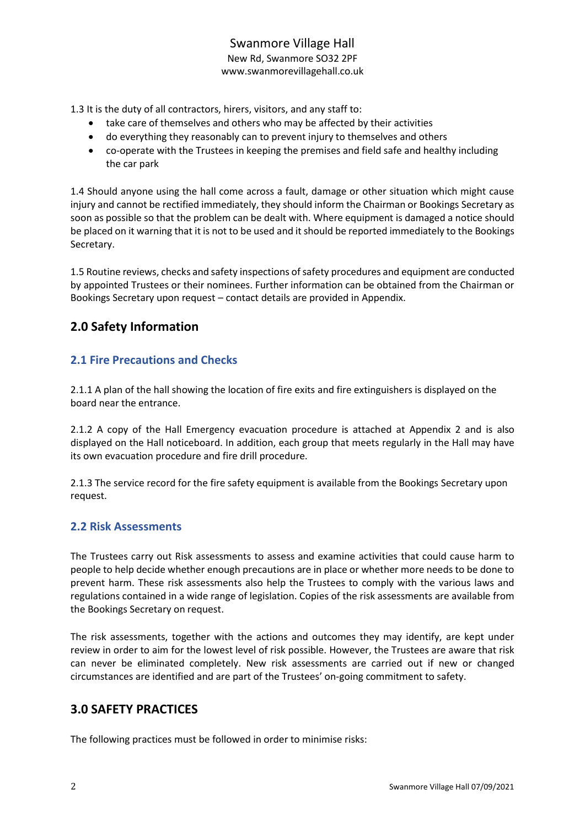1.3 It is the duty of all contractors, hirers, visitors, and any staff to:

- take care of themselves and others who may be affected by their activities
- do everything they reasonably can to prevent injury to themselves and others
- co-operate with the Trustees in keeping the premises and field safe and healthy including the car park

1.4 Should anyone using the hall come across a fault, damage or other situation which might cause injury and cannot be rectified immediately, they should inform the Chairman or Bookings Secretary as soon as possible so that the problem can be dealt with. Where equipment is damaged a notice should be placed on it warning that it is not to be used and it should be reported immediately to the Bookings Secretary.

1.5 Routine reviews, checks and safety inspections of safety procedures and equipment are conducted by appointed Trustees or their nominees. Further information can be obtained from the Chairman or Bookings Secretary upon request – contact details are provided in Appendix.

# **2.0 Safety Information**

### **2.1 Fire Precautions and Checks**

2.1.1 A plan of the hall showing the location of fire exits and fire extinguishers is displayed on the board near the entrance.

2.1.2 A copy of the Hall Emergency evacuation procedure is attached at Appendix 2 and is also displayed on the Hall noticeboard. In addition, each group that meets regularly in the Hall may have its own evacuation procedure and fire drill procedure.

2.1.3 The service record for the fire safety equipment is available from the Bookings Secretary upon request.

#### **2.2 Risk Assessments**

The Trustees carry out Risk assessments to assess and examine activities that could cause harm to people to help decide whether enough precautions are in place or whether more needs to be done to prevent harm. These risk assessments also help the Trustees to comply with the various laws and regulations contained in a wide range of legislation. Copies of the risk assessments are available from the Bookings Secretary on request.

The risk assessments, together with the actions and outcomes they may identify, are kept under review in order to aim for the lowest level of risk possible. However, the Trustees are aware that risk can never be eliminated completely. New risk assessments are carried out if new or changed circumstances are identified and are part of the Trustees' on-going commitment to safety.

# **3.0 SAFETY PRACTICES**

The following practices must be followed in order to minimise risks: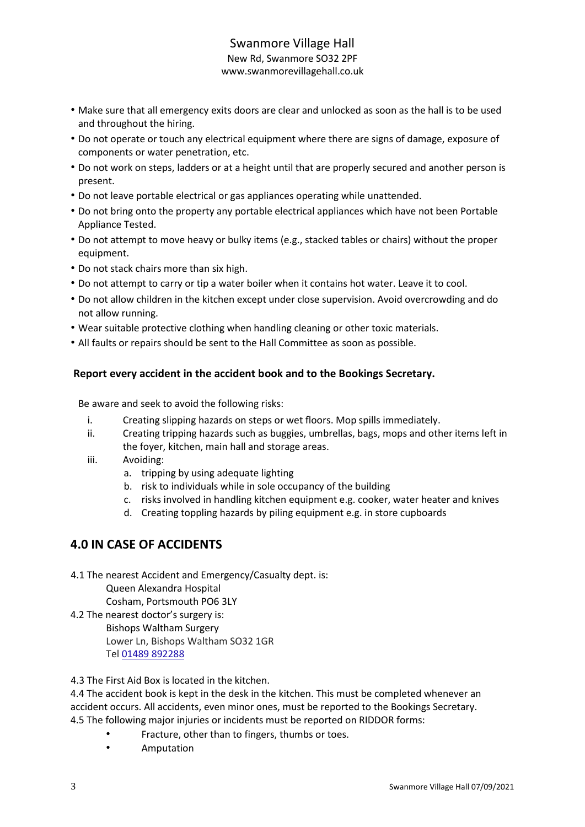### Swanmore Village Hall New Rd, Swanmore SO32 2PF

www.swanmorevillagehall.co.uk

- Make sure that all emergency exits doors are clear and unlocked as soon as the hall is to be used and throughout the hiring.
- Do not operate or touch any electrical equipment where there are signs of damage, exposure of components or water penetration, etc.
- Do not work on steps, ladders or at a height until that are properly secured and another person is present.
- Do not leave portable electrical or gas appliances operating while unattended.
- Do not bring onto the property any portable electrical appliances which have not been Portable Appliance Tested.
- Do not attempt to move heavy or bulky items (e.g., stacked tables or chairs) without the proper equipment.
- Do not stack chairs more than six high.
- Do not attempt to carry or tip a water boiler when it contains hot water. Leave it to cool.
- Do not allow children in the kitchen except under close supervision. Avoid overcrowding and do not allow running.
- Wear suitable protective clothing when handling cleaning or other toxic materials.
- All faults or repairs should be sent to the Hall Committee as soon as possible.

### **Report every accident in the accident book and to the Bookings Secretary.**

Be aware and seek to avoid the following risks:

- i. Creating slipping hazards on steps or wet floors. Mop spills immediately.
- ii. Creating tripping hazards such as buggies, umbrellas, bags, mops and other items left in the foyer, kitchen, main hall and storage areas.
- iii. Avoiding:
	- a. tripping by using adequate lighting
	- b. risk to individuals while in sole occupancy of the building
	- c. risks involved in handling kitchen equipment e.g. cooker, water heater and knives
	- d. Creating toppling hazards by piling equipment e.g. in store cupboards

# **4.0 IN CASE OF ACCIDENTS**

4.1 The nearest Accident and Emergency/Casualty dept. is: Queen Alexandra Hospital Cosham, Portsmouth PO6 3LY

4.2 The nearest doctor's surgery is: Bishops Waltham Surgery Lower Ln, Bishops Waltham SO32 1GR Tel [01489 892288](https://www.google.com/search?q=bishops+waltham+surgery&rlz=1C1CHBF_en-GBGB908GB908&sxsrf=AOaemvL7mjQOAH5HF5OTKhYZnVGxrqIeeg%3A1631024034879&ei=onM3YYyeNciV8gLGkJrIDA&oq=bishops+waltham+surgery&gs_lcp=Cgdnd3Mtd2l6EAMyBAgjECcyBQgAEIAEMgUIABCABDIFCAAQgAQyBQgAEIAEMgUIABCABDIFCAAQgAQyCggAEIAEEIcCEBQyBQgAEIAEMgUIABCABDoHCAAQRxCwAzoOCC4QxwEQrwEQkQIQkwI6DQguELEDEMcBEKMCEEM6CwgAEIAEELEDEIMBOg4ILhCABBCxAxDHARDRAzoICAAQgAQQsQM6DgguEIAEELEDEMcBEKMCOgUIABCRAjoKCC4QxwEQrwEQQzoECAAQQzoLCC4QxwEQrwEQkQI6CgguEMcBENEDEEM6DQguELEDEMcBEK8BEEM6EAguEIAEEIcCEMcBEK8BEBQ6CAguEIAEELEDOgUILhCABDoLCC4QgAQQxwEQrwFKBAhBGABQo40HWIurB2DUrQdoAXACeACAAYYCiAHzIJIBBjAuMTcuNpgBAKABAcgBCMABAQ&sclient=gws-wiz&ved=0ahUKEwiM99-Bhu3yAhXIilwKHUaIBskQ4dUDCA4&uact=5)

4.3 The First Aid Box is located in the kitchen.

4.4 The accident book is kept in the desk in the kitchen. This must be completed whenever an accident occurs. All accidents, even minor ones, must be reported to the Bookings Secretary. 4.5 The following major injuries or incidents must be reported on RIDDOR forms:

- Fracture, other than to fingers, thumbs or toes.
- Amputation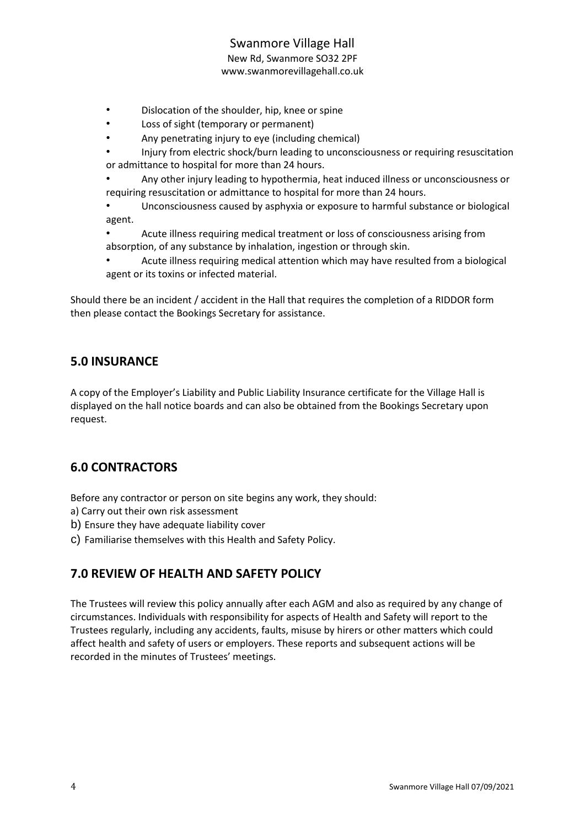- Dislocation of the shoulder, hip, knee or spine
- Loss of sight (temporary or permanent)
- Any penetrating injury to eye (including chemical)
- Injury from electric shock/burn leading to unconsciousness or requiring resuscitation or admittance to hospital for more than 24 hours.
- Any other injury leading to hypothermia, heat induced illness or unconsciousness or requiring resuscitation or admittance to hospital for more than 24 hours.
- Unconsciousness caused by asphyxia or exposure to harmful substance or biological agent.
- Acute illness requiring medical treatment or loss of consciousness arising from absorption, of any substance by inhalation, ingestion or through skin.
- Acute illness requiring medical attention which may have resulted from a biological agent or its toxins or infected material.

Should there be an incident / accident in the Hall that requires the completion of a RIDDOR form then please contact the Bookings Secretary for assistance.

# **5.0 INSURANCE**

A copy of the Employer's Liability and Public Liability Insurance certificate for the Village Hall is displayed on the hall notice boards and can also be obtained from the Bookings Secretary upon request.

# **6.0 CONTRACTORS**

Before any contractor or person on site begins any work, they should:

- a) Carry out their own risk assessment
- b) Ensure they have adequate liability cover
- c) Familiarise themselves with this Health and Safety Policy.

# **7.0 REVIEW OF HEALTH AND SAFETY POLICY**

The Trustees will review this policy annually after each AGM and also as required by any change of circumstances. Individuals with responsibility for aspects of Health and Safety will report to the Trustees regularly, including any accidents, faults, misuse by hirers or other matters which could affect health and safety of users or employers. These reports and subsequent actions will be recorded in the minutes of Trustees' meetings.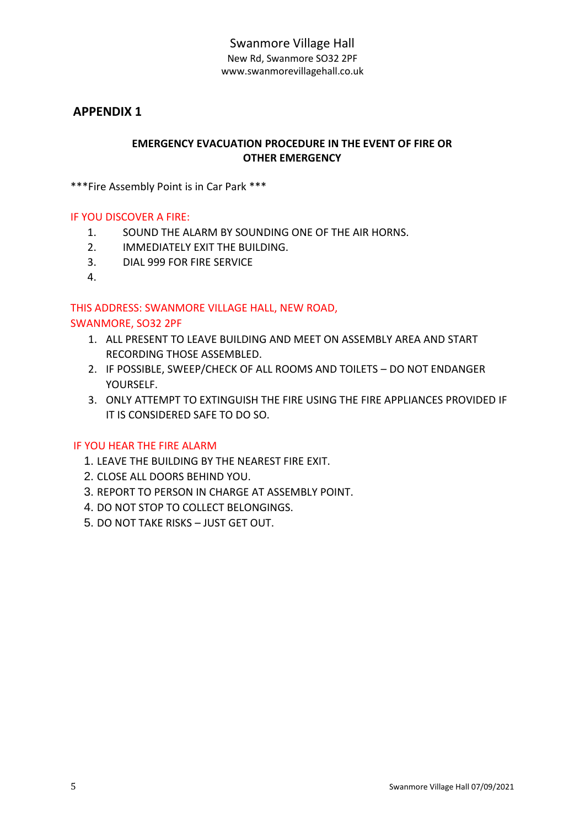### **APPENDIX 1**

### **EMERGENCY EVACUATION PROCEDURE IN THE EVENT OF FIRE OR OTHER EMERGENCY**

\*\*\*Fire Assembly Point is in Car Park \*\*\*

#### IF YOU DISCOVER A FIRE:

- 1. SOUND THE ALARM BY SOUNDING ONE OF THE AIR HORNS.
- 2. IMMEDIATELY EXIT THE BUILDING.
- 3. DIAL 999 FOR FIRE SERVICE
- 4.

# THIS ADDRESS: SWANMORE VILLAGE HALL, NEW ROAD,

#### SWANMORE, SO32 2PF

- 1. ALL PRESENT TO LEAVE BUILDING AND MEET ON ASSEMBLY AREA AND START RECORDING THOSE ASSEMBLED.
- 2. IF POSSIBLE, SWEEP/CHECK OF ALL ROOMS AND TOILETS DO NOT ENDANGER YOURSELF.
- 3. ONLY ATTEMPT TO EXTINGUISH THE FIRE USING THE FIRE APPLIANCES PROVIDED IF IT IS CONSIDERED SAFE TO DO SO.

#### IF YOU HEAR THE FIRE ALARM

- 1. LEAVE THE BUILDING BY THE NEAREST FIRE EXIT.
- 2. CLOSE ALL DOORS BEHIND YOU.
- 3. REPORT TO PERSON IN CHARGE AT ASSEMBLY POINT.
- 4. DO NOT STOP TO COLLECT BELONGINGS.
- 5. DO NOT TAKE RISKS JUST GET OUT.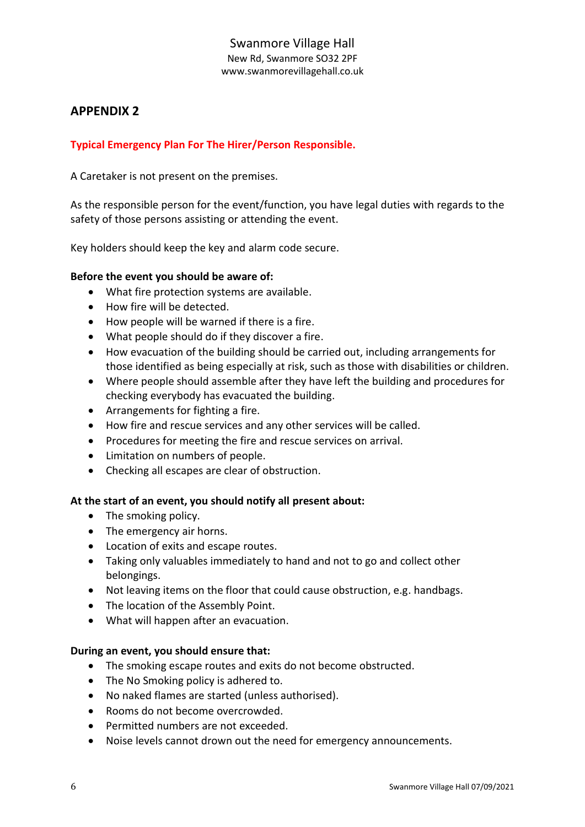# **APPENDIX 2**

### **Typical Emergency Plan For The Hirer/Person Responsible.**

A Caretaker is not present on the premises.

As the responsible person for the event/function, you have legal duties with regards to the safety of those persons assisting or attending the event.

Key holders should keep the key and alarm code secure.

#### **Before the event you should be aware of:**

- What fire protection systems are available.
- How fire will be detected.
- How people will be warned if there is a fire.
- What people should do if they discover a fire.
- How evacuation of the building should be carried out, including arrangements for those identified as being especially at risk, such as those with disabilities or children.
- Where people should assemble after they have left the building and procedures for checking everybody has evacuated the building.
- Arrangements for fighting a fire.
- How fire and rescue services and any other services will be called.
- Procedures for meeting the fire and rescue services on arrival.
- Limitation on numbers of people.
- Checking all escapes are clear of obstruction.

#### **At the start of an event, you should notify all present about:**

- The smoking policy.
- The emergency air horns.
- Location of exits and escape routes.
- Taking only valuables immediately to hand and not to go and collect other belongings.
- Not leaving items on the floor that could cause obstruction, e.g. handbags.
- The location of the Assembly Point.
- What will happen after an evacuation.

#### **During an event, you should ensure that:**

- The smoking escape routes and exits do not become obstructed.
- The No Smoking policy is adhered to.
- No naked flames are started (unless authorised).
- Rooms do not become overcrowded.
- Permitted numbers are not exceeded.
- Noise levels cannot drown out the need for emergency announcements.